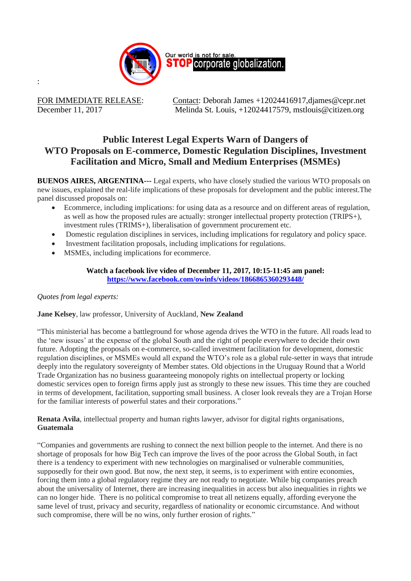

:

FOR IMMEDIATE RELEASE: Contact: Deborah James +12024416917, djames @cepr.net December 11, 2017 Melinda St. Louis, +12024417579, mstlouis@citizen.org

# **Public Interest Legal Experts Warn of Dangers of WTO Proposals on E-commerce, Domestic Regulation Disciplines, Investment Facilitation and Micro, Small and Medium Enterprises (MSMEs)**

**BUENOS AIRES, ARGENTINA---** Legal experts, who have closely studied the various WTO proposals on new issues, explained the real-life implications of these proposals for development and the public interest.The panel discussed proposals on:

- Ecommerce, including implications: for using data as a resource and on different areas of regulation, as well as how the proposed rules are actually: stronger intellectual property protection (TRIPS+), investment rules (TRIMS+), liberalisation of government procurement etc.
- Domestic regulation disciplines in services, including implications for regulatory and policy space.
- Investment facilitation proposals, including implications for regulations.
- MSMEs, including implications for ecommerce.

## **Watch a facebook live video of December 11, 2017, 10:15-11:45 am panel: <https://www.facebook.com/owinfs/videos/1866865360293448/>**

## *Quotes from legal experts:*

## **Jane Kelsey**, law professor, University of Auckland, **New Zealand**

"This ministerial has become a battleground for whose agenda drives the WTO in the future. All roads lead to the 'new issues' at the expense of the global South and the right of people everywhere to decide their own future. Adopting the proposals on e-commerce, so-called investment facilitation for development, domestic regulation disciplines, or MSMEs would all expand the WTO's role as a global rule-setter in ways that intrude deeply into the regulatory sovereignty of Member states. Old objections in the Uruguay Round that a World Trade Organization has no business guaranteeing monopoly rights on intellectual property or locking domestic services open to foreign firms apply just as strongly to these new issues. This time they are couched in terms of development, facilitation, supporting small business. A closer look reveals they are a Trojan Horse for the familiar interests of powerful states and their corporations."

**Renata Avila**, intellectual property and human rights lawyer, advisor for digital rights organisations, **Guatemala**

"Companies and governments are rushing to connect the next billion people to the internet. And there is no shortage of proposals for how Big Tech can improve the lives of the poor across the Global South, in fact there is a tendency to experiment with new technologies on marginalised or vulnerable communities, supposedly for their own good. But now, the next step, it seems, is to experiment with entire economies, forcing them into a global regulatory regime they are not ready to negotiate. While big companies preach about the universality of Internet, there are increasing inequalities in access but also inequalities in rights we can no longer hide. There is no political compromise to treat all netizens equally, affording everyone the same level of trust, privacy and security, regardless of nationality or economic circumstance. And without such compromise, there will be no wins, only further erosion of rights."